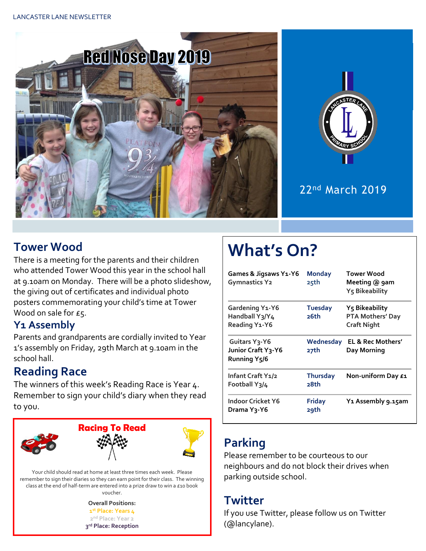



### 22nd March 2019

### **Tower Wood**

There is a meeting for the parents and their children who attended Tower Wood this year in the school hall at 9.10am on Monday. There will be a photo slideshow, the giving out of certificates and individual photo posters commemorating your child's time at Tower Wood on sale for £5.

#### **Y1 Assembly**

Parents and grandparents are cordially invited to Year 1's assembly on Friday, 29th March at 9.10am in the school hall.

### **Reading Race**

The winners of this week's Reading Race is Year 4. Remember to sign your child's diary when they read to you.



Your child should read at home at least three times each week. Please remember to sign their diaries so they can earn point for their class. The winning class at the end of half-term are entered into a prize draw to win a £10 book voucher.

> **Overall Positions: st Place: Years 4 nd Place: Year 2 rd Place: Reception**

# **What's On?**

| <b>Games &amp; Jigsaws Y1-Y6</b><br><b>Gymnastics Y2</b>                      | <b>Monday</b><br>25th   | Tower Wood<br>Meeting @ 9am<br>Y5 Bikeability            |
|-------------------------------------------------------------------------------|-------------------------|----------------------------------------------------------|
| Gardening Y1-Y6<br>Handball Y3/Y4<br>Reading Y1-Y6                            | <b>Tuesday</b><br>26th  | Y5 Bikeability<br>PTA Mothers' Day<br><b>Craft Night</b> |
| Guitars Y <sub>3</sub> -Y6<br>Junior Craft Y3-Y6<br>Running Y <sub>5</sub> /6 | Wednesday<br>27th       | EL & Rec Mothers'<br>Day Morning                         |
| Infant Craft Y1/2<br>Football Y3/4                                            | <b>Thursday</b><br>28th | Non-uniform Day £1                                       |
| <b>Indoor Cricket Y6</b><br>Drama Yวุ-Y6                                      | <b>Friday</b><br>29th   | Y1 Assembly 9.15am                                       |

## **Parking**

Please remember to be courteous to our neighbours and do not block their drives when parking outside school.

#### **Twitter**

If you use Twitter, please follow us on Twitter (@lancylane).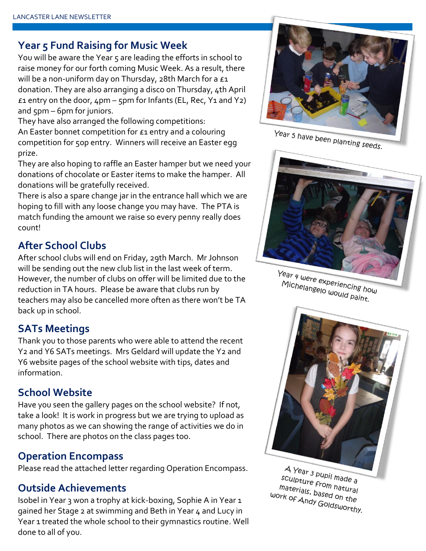#### **Year 5 Fund Raising for Music Week**

You will be aware the Year 5 are leading the efforts in school to raise money for our forth coming Music Week. As a result, there will be a non-uniform day on Thursday, 28th March for a  $f_1$ donation. They are also arranging a disco on Thursday, 4th April  $£1$  entry on the door,  $4$ pm –  $5$ pm for Infants (EL, Rec, Y<sub>1</sub> and Y<sub>2</sub>) and 5pm – 6pm for juniors.

They have also arranged the following competitions: An Easter bonnet competition for £1 entry and a colouring competition for 50p entry. Winners will receive an Easter egg prize.

They are also hoping to raffle an Easter hamper but we need your donations of chocolate or Easter items to make the hamper. All donations will be gratefully received.

There is also a spare change jar in the entrance hall which we are hoping to fill with any loose change you may have. The PTA is match funding the amount we raise so every penny really does count!

#### **After School Clubs**

After school clubs will end on Friday, 29th March. Mr Johnson will be sending out the new club list in the last week of term. However, the number of clubs on offer will be limited due to the reduction in TA hours. Please be aware that clubs run by teachers may also be cancelled more often as there won't be TA back up in school.

#### **SATs Meetings**

Thank you to those parents who were able to attend the recent Y2 and Y6 SATs meetings. Mrs Geldard will update the Y2 and Y6 website pages of the school website with tips, dates and information.

#### **School Website**

Have you seen the gallery pages on the school website? If not, take a look! It is work in progress but we are trying to upload as many photos as we can showing the range of activities we do in school. There are photos on the class pages too.

#### **Operation Encompass**

Please read the attached letter regarding Operation Encompass.

#### **Outside Achievements**

Isobel in Year 3 won a trophy at kick-boxing, Sophie A in Year 1 gained her Stage 2 at swimming and Beth in Year 4 and Lucy in Year 1 treated the whole school to their gymnastics routine. Well done to all of you.



Year 5 have been planting seeds.



Year 4 were experiencing how Michelangelo would paint.<br>Michelangelo would paint.



A Year 3 pupil made a sculpture from hade a<br>materials, based of materials, based on the<br>Privit of Andy Goldon the work of Andy Goldsworthy.<br>Work of Andy Goldsworthy.